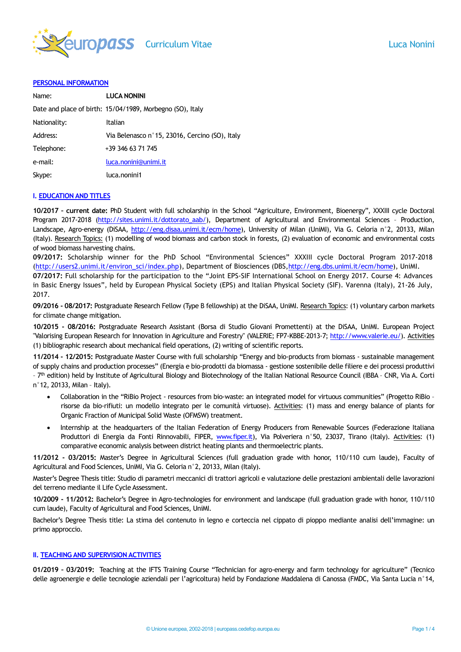

#### **PERSONAL INFORMATION**

| Name:        | <b>LUCA NONINI</b>                                        |
|--------------|-----------------------------------------------------------|
|              | Date and place of birth: 15/04/1989, Morbegno (SO), Italy |
| Nationality: | Italian                                                   |
| Address:     | Via Belenasco nº 15, 23016, Cercino (SO), Italy           |
| Telephone:   | +39 346 63 71 745                                         |
| e-mail:      | luca.nonini@unimi.it                                      |
| Skype:       | luca.nonini1                                              |

### **I. EDUCATION AND TITLES**

**10/2017 – current date:** PhD Student with full scholarship in the School "Agriculture, Environment, Bioenergy", XXXIII cycle Doctoral Program 2017-2018 [\(http://sites.unimi.it/dottorato\\_aab/\)](http://sites.unimi.it/dottorato_aab/), Department of Agricultural and Environmental Sciences - Production, Landscape, Agro-energy (DiSAA, [http://eng.disaa.unimi.it/ecm/home\)](http://eng.disaa.unimi.it/ecm/home), University of Milan (UniMI), Via G. Celoria n°2, 20133, Milan (Italy). Research Topics: (1) modelling of wood biomass and carbon stock in forests, (2) evaluation of economic and environmental costs of wood biomass harvesting chains.

**09/2017:** Scholarship winner for the PhD School "Environmental Sciences" XXXIII cycle Doctoral Program 2017-2018 [\(http://users2.unimi.it/environ\\_sci/index.php\)](http://users2.unimi.it/environ_sci/index.php), Department of Biosciences (DBS[,http://eng.dbs.unimi.it/ecm/home\)](http://eng.dbs.unimi.it/ecm/home), UniMI.

**07/2017:** Full scholarship for the participation to the "Joint EPS-SIF International School on Energy 2017. Course 4: Advances in Basic Energy Issues", held by European Physical Society (EPS) and Italian Physical Society (SIF). Varenna (Italy), 21-26 July, 2017.

**09/2016 - 08/2017:** Postgraduate Research Fellow (Type B fellowship) at the DiSAA, UniMI. Research Topics: (1) voluntary carbon markets for climate change mitigation.

**10/2015 - 08/2016:** Postgraduate Research Assistant (Borsa di Studio Giovani Promettenti) at the DiSAA, UniMI. European Project "Valorising European Research for Innovation in Agriculture and Forestry" (VALERIE; FP7-KBBE-2013-7; http://www.valerie.eu/). Activities (1) bibliographic research about mechanical field operations, (2) writing of scientific reports.

**11/2014 - 12/2015:** Postgraduate Master Course with full scholarship "Energy and bio-products from biomass - sustainable management of supply chains and production processes" (Energia e bio-prodotti da biomassa - gestione sostenibile delle filiere e dei processi produttivi - 7<sup>th</sup> edition) held by Institute of Agricultural Biology and Biotechnology of the Italian National Resource Council (IBBA - CNR, Via A. Corti n°12, 20133, Milan – Italy).

- Collaboration in the "RiBio Project resources from bio-waste: an integrated model for virtuous communities" (Progetto RiBio risorse da bio-rifiuti: un modello integrato per le comunità virtuose). Activities: (1) mass and energy balance of plants for Organic Fraction of Municipal Solid Waste (OFMSW) treatment.
- Internship at the headquarters of the Italian Federation of Energy Producers from Renewable Sources (Federazione Italiana Produttori di Energia da Fonti Rinnovabili, FIPER, [www.fiper.it\)](http://www.fiper.it/), Via Polveriera n°50, 23037, Tirano (Italy). Activities: (1) comparative economic analysis between district heating plants and thermoelectric plants.

**11/2012 - 03/2015:** Master's Degree in Agricultural Sciences (full graduation grade with honor, 110/110 cum laude), Faculty of Agricultural and Food Sciences, UniMI, Via G. Celoria n°2, 20133, Milan (Italy).

Master's Degree Thesis title: Studio di parametri meccanici di trattori agricoli e valutazione delle prestazioni ambientali delle lavorazioni del terreno mediante il Life Cycle Assessment.

**10/2009 - 11/2012:** Bachelor's Degree in Agro-technologies for environment and landscape (full graduation grade with honor, 110/110 cum laude), Faculty of Agricultural and Food Sciences, UniMI.

Bachelor's Degree Thesis title: La stima del contenuto in legno e corteccia nel cippato di pioppo mediante analisi dell'immagine: un primo approccio.

## **II. TEACHING AND SUPERVISION ACTIVITIES**

**01/2019 – 03/2019:** Teaching at the IFTS Training Course "Technician for agro-energy and farm technology for agriculture" (Tecnico delle agroenergie e delle tecnologie aziendali per l'agricoltura) held by Fondazione Maddalena di Canossa (FMDC, Via Santa Lucia n°14,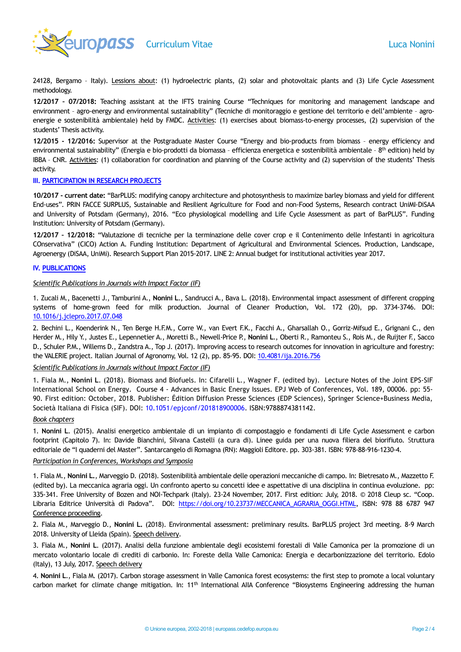

24128, Bergamo - Italy). Lessions about: (1) hydroelectric plants, (2) solar and photovoltaic plants and (3) Life Cycle Assessment methodology.

**12/2017 – 07/2018:** Teaching assistant at the IFTS training Course "Techniques for monitoring and management landscape and environment – agro-energy and environmental sustainability" (Tecniche di monitoraggio e gestione del territorio e dell'ambiente – agroenergie e sostenibilità ambientale) held by FMDC. Activities: (1) exercises about biomass-to-energy processes, (2) supervision of the students' Thesis activity.

**12/2015 - 12/2016:** Supervisor at the Postgraduate Master Course "Energy and bio-products from biomass – energy efficiency and environmental sustainability" (Energia e bio-prodotti da biomassa - efficienza energetica e sostenibilità ambientale - 8<sup>th</sup> edition) held by IBBA – CNR. Activities: (1) collaboration for coordination and planning of the Course activity and (2) supervision of the students' Thesis activity.

### **III. PARTICIPATION IN RESEARCH PROJECTS**

**10/2017 - current date:** "BarPLUS: modifying canopy architecture and photosynthesis to maximize barley biomass and yield for different End-uses". PRIN FACCE SURPLUS, Sustainable and Resilient Agriculture for Food and non-Food Systems, Research contract UniMI-DiSAA and University of Potsdam (Germany), 2016. "Eco physiological modelling and Life Cycle Assessment as part of BarPLUS". Funding Institution: University of Potsdam (Germany).

**12/2017 – 12/2018:** "Valutazione di tecniche per la terminazione delle cover crop e il Contenimento delle Infestanti in agricoltura COnservativa" (CICO) Action A. Funding Institution: Department of Agricultural and Environmental Sciences. Production, Landscape, Agroenergy (DiSAA, UniMi). Research Support Plan 2015-2017. LINE 2: Annual budget for institutional activities year 2017.

## **IV. PUBLICATIONS**

### *Scientific Publications in Journals with Impact Factor (IF)*

1. Zucali M., Bacenetti J., Tamburini A., **Nonini L**., Sandrucci A., Bava L. (2018). Environmental impact assessment of different cropping systems of home-grown feed for milk production. Journal of Cleaner Production, Vol. 172 (20), pp. 3734-3746. DOI: [10.1016/j.jclepro.2017.07.048](https://doi.org/10.1016/j.jclepro.2017.07.048)

2. Bechini L., Koenderink N., Ten Berge H.F.M., Corre W., van Evert F.K., Facchi A., Gharsallah O., Gorriz-Mifsud E., Grignani C., den Herder M., Hily Y., Justes E., Lepennetier A., Moretti B., Newell-Price P., **Nonini L**., Oberti R., Ramonteu S., Rois M., de Ruijter F., Sacco D., Schuler P.M., Willems D., Zandstra A., Top J. (2017). Improving access to research outcomes for innovation in agriculture and forestry: the VALERIE project. Italian Journal of Agronomy, Vol. 12 (2), pp. 85-95. DOI: [10.4081/ija.2016.756](https://doi.org/10.4081/ija.2016.756)

## *Scientific Publications in Journals without Impact Factor (IF)*

1. Fiala M., **Nonini L**. (2018). Biomass and Biofuels. In: Cifarelli L., Wagner F. (edited by). Lecture Notes of the Joint EPS-SIF International School on Energy. Course 4 - Advances in Basic Energy Issues. EPJ Web of Conferences, Vol. 189, 00006. pp: 55- 90. First edition: October, 2018. Publisher: Édition Diffusion Presse Sciences (EDP Sciences), Springer Science+Business Media, Società Italiana di Fisica (SIF). DOI: 10.1051/epjconf/201818900006. ISBN:9788874381142.

### *Book chapters*

1. **Nonini L**. (2015). Analisi energetico ambientale di un impianto di compostaggio e fondamenti di Life Cycle Assessment e carbon footprint (Capitolo 7). In: Davide Bianchini, Silvana Castelli (a cura di). Linee guida per una nuova filiera del biorifiuto. Struttura editoriale de "I quaderni del Master". Santarcangelo di Romagna (RN): Maggioli Editore. pp. 303-381. ISBN: 978-88-916-1230-4.

### *Participation in Conferences, Workshops and Symposia*

1. Fiala M., **Nonini L.**, Marveggio D. (2018). Sostenibilità ambientale delle operazioni meccaniche di campo. In: Bietresato M., Mazzetto F. (edited by). La meccanica agraria oggi. Un confronto aperto su concetti idee e aspettative di una disciplina in continua evoluzione. pp: 335-341. Free University of Bozen and NOI-Techpark (Italy). 23-24 November, 2017. First edition: July, 2018. © 2018 Cleup sc. "Coop. Libraria Editrice Università di Padova". DOI: [https://doi.org/10.23737/MECCANICA\\_AGRARIA\\_OGGI.HTML,](https://doi.org/10.23737/MECCANICA_AGRARIA_OGGI.HTML) ISBN: 978 88 6787 947 Conference proceeding.

2. Fiala M., Marveggio D., **Nonini L.** (2018). Environmental assessment: preliminary results. BarPLUS project 3rd meeting. 8-9 March 2018. University of Lleida (Spain). Speech delivery.

3. Fiala M., **Nonini L**. (2017). Analisi della funzione ambientale degli ecosistemi forestali di Valle Camonica per la promozione di un mercato volontario locale di crediti di carbonio. In: Foreste della Valle Camonica: Energia e decarbonizzazione del territorio. Edolo (Italy), 13 July, 2017. Speech delivery

4. **Nonini L**., Fiala M. (2017). Carbon storage assessment in Valle Camonica forest ecosystems: the first step to promote a local voluntary carbon market for climate change mitigation. In: 11<sup>th</sup> International AIIA Conference "Biosystems Engineering addressing the human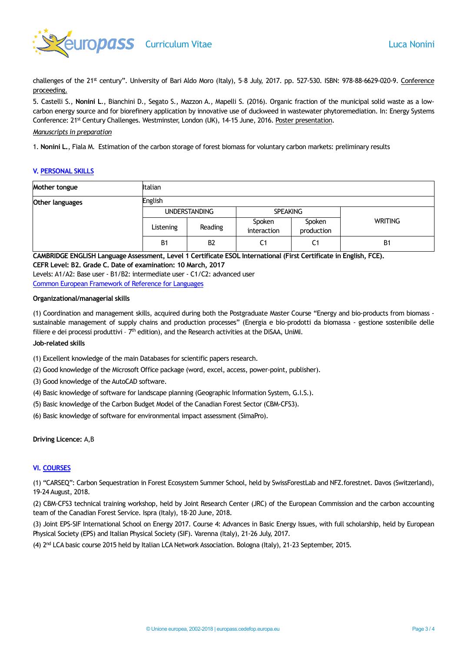

challenges of the 21<sup>st</sup> century". University of Bari Aldo Moro (Italy), 5-8 July, 2017. pp. 527-530. ISBN: 978-88-6629-020-9. Conference proceeding.

5. Castelli S., **Nonini L**., Bianchini D., Segato S., Mazzon A., Mapelli S. (2016). Organic fraction of the municipal solid waste as a lowcarbon energy source and for biorefinery application by innovative use of duckweed in wastewater phytoremediation. In: Energy Systems Conference: 21<sup>st</sup> Century Challenges. Westminster, London (UK), 14-15 June, 2016. Poster presentation.

### *Manuscripts in preparation*

1. **Nonini L.**, Fiala M. Estimation of the carbon storage of forest biomass for voluntary carbon markets: preliminary results

#### **V. PERSONAL SKILLS**

| Mother tongue   | <b>Italian</b>       |                |                       |                      |                |  |  |
|-----------------|----------------------|----------------|-----------------------|----------------------|----------------|--|--|
| Other languages | <b>English</b>       |                |                       |                      |                |  |  |
|                 | <b>UNDERSTANDING</b> |                | <b>SPEAKING</b>       |                      |                |  |  |
|                 | Listening            | Reading        | Spoken<br>interaction | Spoken<br>production | <b>WRITING</b> |  |  |
|                 | B <sub>1</sub>       | B <sub>2</sub> | C1                    | C <sub>1</sub>       | B <sub>1</sub> |  |  |

**CAMBRIDGE ENGLISH Language Assessment, Level 1 Certificate ESOL International (First Certificate in English, FCE).**

**CEFR Level: B2. Grade C. Date of examination: 10 March, 2017** Levels: A1/A2: Base user - B1/B2: intermediate user - C1/C2: advanced user [Common European Framework of Reference for Languages](http://europass.cedefop.europa.eu/en/resources/european-language-levels-cefr)

#### **Organizational/managerial skills**

(1) Coordination and management skills, acquired during both the Postgraduate Master Course "Energy and bio-products from biomass sustainable management of supply chains and production processes" (Energia e bio-prodotti da biomassa - gestione sostenibile delle filiere e dei processi produttivi - 7<sup>th</sup> edition), and the Research activities at the DiSAA, UniMI.

# **Job-related skills**

(1) Excellent knowledge of the main Databases for scientific papers research.

- (2) Good knowledge of the Microsoft Office package (word, excel, access, power-point, publisher).
- (3) Good knowledge of the AutoCAD software.
- (4) Basic knowledge of software for landscape planning (Geographic Information System, G.I.S.).
- (5) Basic knowledge of the Carbon Budget Model of the Canadian Forest Sector (CBM-CFS3).
- (6) Basic knowledge of software for environmental impact assessment (SimaPro).

### **Driving Licence:** A,B

### **VI. COURSES**

(1) "CARSEQ": Carbon Sequestration in Forest Ecosystem Summer School, held by SwissForestLab and NFZ.forestnet. Davos (Switzerland), 19-24 August, 2018.

(2) CBM-CFS3 technical training workshop, held by Joint Research Center (JRC) of the European Commission and the carbon accounting team of the Canadian Forest Service. Ispra (Italy), 18-20 June, 2018.

(3) Joint EPS-SIF International School on Energy 2017. Course 4: Advances in Basic Energy Issues, with full scholarship, held by European Physical Society (EPS) and Italian Physical Society (SIF). Varenna (Italy), 21-26 July, 2017.

(4) 2nd LCA basic course 2015 held by Italian LCA Network Association. Bologna (Italy), 21-23 September, 2015.